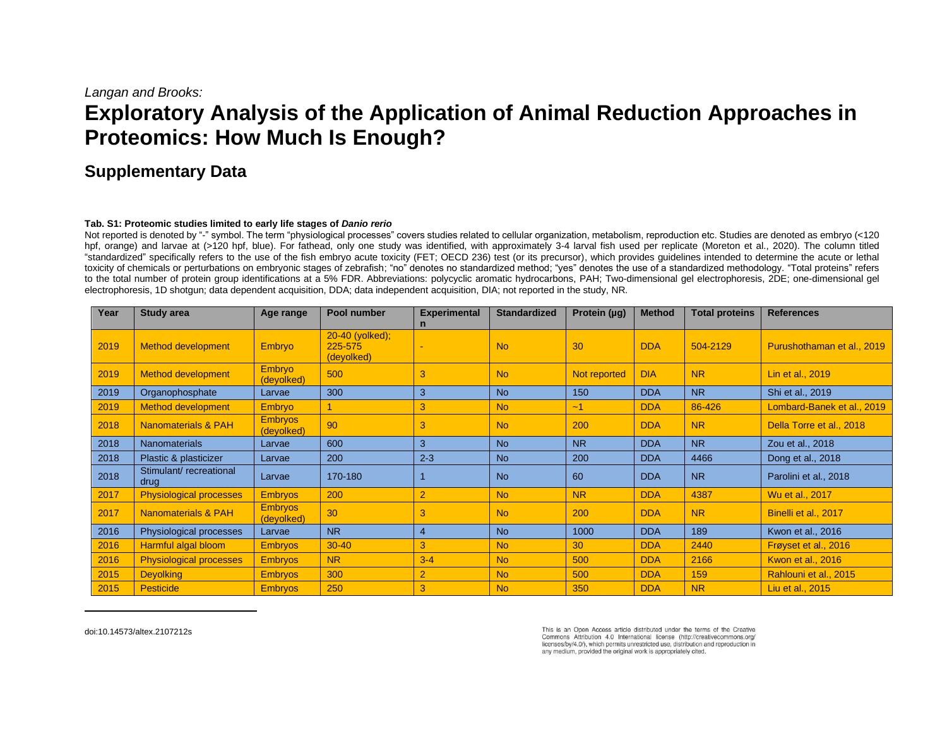## *Langan and Brooks:*

# **Exploratory Analysis of the Application of Animal Reduction Approaches in Proteomics: How Much Is Enough?**

# **Supplementary Data**

#### **Tab. S1: Proteomic studies limited to early life stages of** *Danio rerio*

Not reported is denoted by "-" symbol. The term "physiological processes" covers studies related to cellular organization, metabolism, reproduction etc. Studies are denoted as embryo (<120 hpf, orange) and larvae at (>120 hpf, blue). For fathead, only one study was identified, with approximately 3-4 larval fish used per replicate (Moreton et al., 2020). The column titled "standardized" specifically refers to the use of the fish embryo acute toxicity (FET; OECD 236) test (or its precursor), which provides guidelines intended to determine the acute or lethal toxicity of chemicals or perturbations on embryonic stages of zebrafish; "no" denotes no standardized method; "yes" denotes the use of a standardized methodology. "Total proteins" refers to the total number of protein group identifications at a 5% FDR. Abbreviations: polycyclic aromatic hydrocarbons, PAH; Two-dimensional gel electrophoresis, 2DE; one-dimensional gel electrophoresis, 1D shotgun; data dependent acquisition, DDA; data independent acquisition, DIA; not reported in the study, NR.

| Year | <b>Study area</b>              | Age range                    | Pool number                              | <b>Experimental</b> | <b>Standardized</b> | Protein (µg) | <b>Method</b> | <b>Total proteins</b> | <b>References</b>          |
|------|--------------------------------|------------------------------|------------------------------------------|---------------------|---------------------|--------------|---------------|-----------------------|----------------------------|
|      |                                |                              |                                          | $\mathsf{n}$        |                     |              |               |                       |                            |
| 2019 | Method development             | Embryo                       | 20-40 (yolked);<br>225-575<br>(devolked) |                     | <b>No</b>           | 30           | <b>DDA</b>    | 504-2129              | Purushothaman et al., 2019 |
| 2019 | <b>Method development</b>      | Embryo<br>(devolked)         | 500                                      | 3                   | <b>No</b>           | Not reported | <b>DIA</b>    | <b>NR</b>             | Lin et al., 2019           |
| 2019 | Organophosphate                | Larvae                       | 300                                      | 3                   | <b>No</b>           | 150          | <b>DDA</b>    | <b>NR</b>             | Shi et al., 2019           |
| 2019 | Method development             | Embryo                       |                                          | 3                   | N <sub>o</sub>      | $-1$         | <b>DDA</b>    | 86-426                | Lombard-Banek et al., 2019 |
| 2018 | Nanomaterials & PAH            | <b>Embryos</b><br>(devolked) | 90                                       | 3                   | <b>No</b>           | 200          | <b>DDA</b>    | <b>NR</b>             | Della Torre et al., 2018   |
| 2018 | <b>Nanomaterials</b>           | Larvae                       | 600                                      | 3                   | <b>No</b>           | <b>NR</b>    | <b>DDA</b>    | <b>NR</b>             | Zou et al., 2018           |
| 2018 | Plastic & plasticizer          | Larvae                       | 200                                      | $2 - 3$             | <b>No</b>           | 200          | <b>DDA</b>    | 4466                  | Dong et al., 2018          |
| 2018 | Stimulant/recreational<br>drug | Larvae                       | 170-180                                  |                     | <b>No</b>           | 60           | <b>DDA</b>    | <b>NR</b>             | Parolini et al., 2018      |
| 2017 | <b>Physiological processes</b> | <b>Embryos</b>               | 200                                      | $\overline{2}$      | <b>No</b>           | <b>NR</b>    | <b>DDA</b>    | 4387                  | Wu et al., 2017            |
| 2017 | Nanomaterials & PAH            | <b>Embryos</b><br>(deyolked) | 30                                       | 3                   | <b>No</b>           | 200          | <b>DDA</b>    | <b>NR</b>             | Binelli et al., 2017       |
| 2016 | Physiological processes        | Larvae                       | <b>NR</b>                                | $\overline{4}$      | <b>No</b>           | 1000         | <b>DDA</b>    | 189                   | Kwon et al., 2016          |
| 2016 | Harmful algal bloom            | <b>Embryos</b>               | $30 - 40$                                | 3                   | <b>No</b>           | 30           | <b>DDA</b>    | 2440                  | Frøyset et al., 2016       |
| 2016 | <b>Physiological processes</b> | <b>Embryos</b>               | <b>NR</b>                                | $3 - 4$             | <b>No</b>           | 500          | <b>DDA</b>    | 2166                  | Kwon et al., 2016          |
| 2015 | <b>Deyolking</b>               | <b>Embryos</b>               | 300                                      | $\overline{2}$      | <b>No</b>           | 500          | <b>DDA</b>    | 159                   | Rahlouni et al., 2015      |
| 2015 | <b>Pesticide</b>               | <b>Embryos</b>               | 250                                      | 3                   | <b>No</b>           | 350          | <b>DDA</b>    | <b>NR</b>             | Liu et al., 2015           |

[doi:10.14573/altex.2107212s](https://doi.org/10.14573/altex.2107212s)

This is an Open Access article distributed under the terms of the Creative Commons Attribution 4.0 International license (http://creativecommons.org/ licenses/by/4.0/), which permits unrestricted use, distribution and reproduction in any medium, provided the original work is appropriately cited.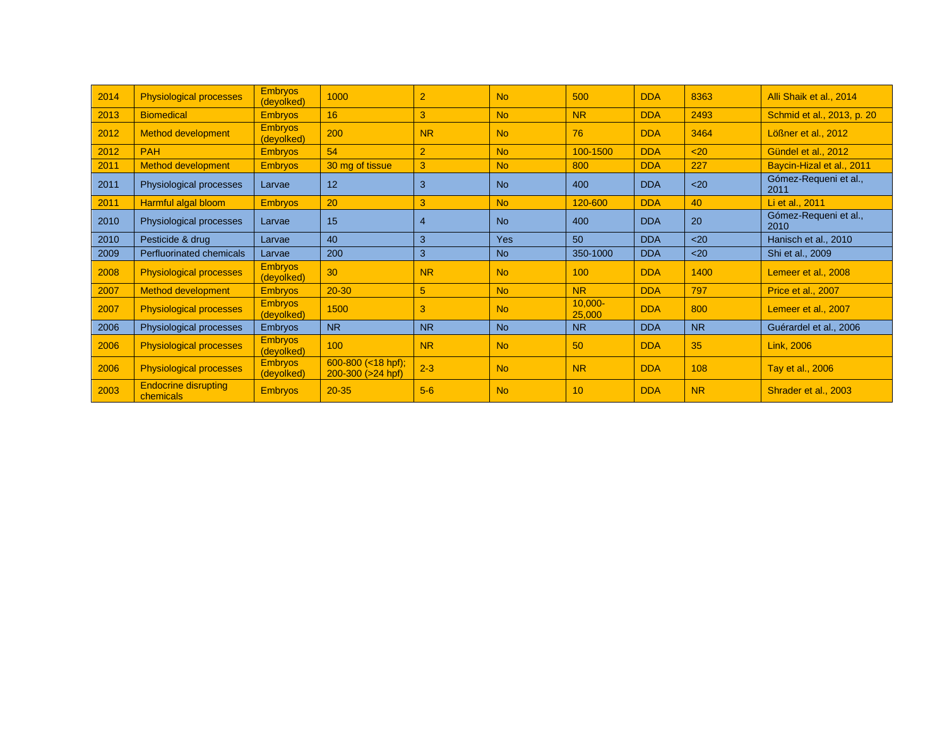| 2014 | <b>Physiological processes</b>           | <b>Embryos</b><br>(devolked) | 1000                                            | $\overline{2}$ | <b>No</b>  | 500                  | <b>DDA</b> | 8363      | Alli Shaik et al., 2014       |
|------|------------------------------------------|------------------------------|-------------------------------------------------|----------------|------------|----------------------|------------|-----------|-------------------------------|
| 2013 | <b>Biomedical</b>                        | <b>Embryos</b>               | 16                                              | 3              | <b>No</b>  | <b>NR</b>            | <b>DDA</b> | 2493      | Schmid et al., 2013, p. 20    |
| 2012 | <b>Method development</b>                | <b>Embryos</b><br>(deyolked) | 200                                             | <b>NR</b>      | <b>No</b>  | 76                   | <b>DDA</b> | 3464      | Lößner et al., 2012           |
| 2012 | <b>PAH</b>                               | <b>Embryos</b>               | 54                                              | $\overline{2}$ | <b>No</b>  | 100-1500             | <b>DDA</b> | $20$      | Gündel et al., 2012           |
| 2011 | <b>Method development</b>                | <b>Embryos</b>               | 30 mg of tissue                                 | 3              | <b>No</b>  | 800                  | <b>DDA</b> | 227       | Baycin-Hizal et al., 2011     |
| 2011 | Physiological processes                  | Larvae                       | 12                                              | 3              | <b>No</b>  | 400                  | <b>DDA</b> | $20$      | Gómez-Requeni et al.,<br>2011 |
| 2011 | Harmful algal bloom                      | <b>Embryos</b>               | 20                                              | 3              | <b>No</b>  | 120-600              | <b>DDA</b> | 40        | Li et al., 2011               |
| 2010 | Physiological processes                  | Larvae                       | 15                                              | 4              | <b>No</b>  | 400                  | <b>DDA</b> | 20        | Gómez-Requeni et al.,<br>2010 |
| 2010 | Pesticide & drug                         | Larvae                       | 40                                              | 3              | <b>Yes</b> | 50                   | <b>DDA</b> | $20$      | Hanisch et al., 2010          |
| 2009 | Perfluorinated chemicals                 | Larvae                       | 200                                             | 3              | <b>No</b>  | 350-1000             | <b>DDA</b> | $20$      | Shi et al., 2009              |
| 2008 | <b>Physiological processes</b>           | <b>Embryos</b><br>(deyolked) | 30                                              | <b>NR</b>      | <b>No</b>  | 100                  | <b>DDA</b> | 1400      | Lemeer et al., 2008           |
| 2007 | <b>Method development</b>                | <b>Embryos</b>               | $20 - 30$                                       | 5              | <b>No</b>  | <b>NR</b>            | <b>DDA</b> | 797       | Price et al., 2007            |
| 2007 | <b>Physiological processes</b>           | <b>Embryos</b><br>(devolked) | 1500                                            | 3              | <b>No</b>  | $10,000 -$<br>25,000 | <b>DDA</b> | 800       | Lemeer et al., 2007           |
| 2006 | Physiological processes                  | <b>Embryos</b>               | <b>NR</b>                                       | N <sub>R</sub> | <b>No</b>  | <b>NR</b>            | <b>DDA</b> | <b>NR</b> | Guérardel et al., 2006        |
| 2006 | <b>Physiological processes</b>           | <b>Embryos</b><br>(devolked) | 100                                             | <b>NR</b>      | <b>No</b>  | 50                   | <b>DDA</b> | 35        | <b>Link, 2006</b>             |
| 2006 | <b>Physiological processes</b>           | <b>Embryos</b><br>(deyolked) | 600-800 $(< 18$ hpf);<br>$200-300$ ( $>24$ hpf) | $2 - 3$        | <b>No</b>  | <b>NR</b>            | <b>DDA</b> | 108       | Tay et al., 2006              |
| 2003 | <b>Endocrine disrupting</b><br>chemicals | <b>Embryos</b>               | $20 - 35$                                       | $5-6$          | <b>No</b>  | 10                   | <b>DDA</b> | <b>NR</b> | Shrader et al., 2003          |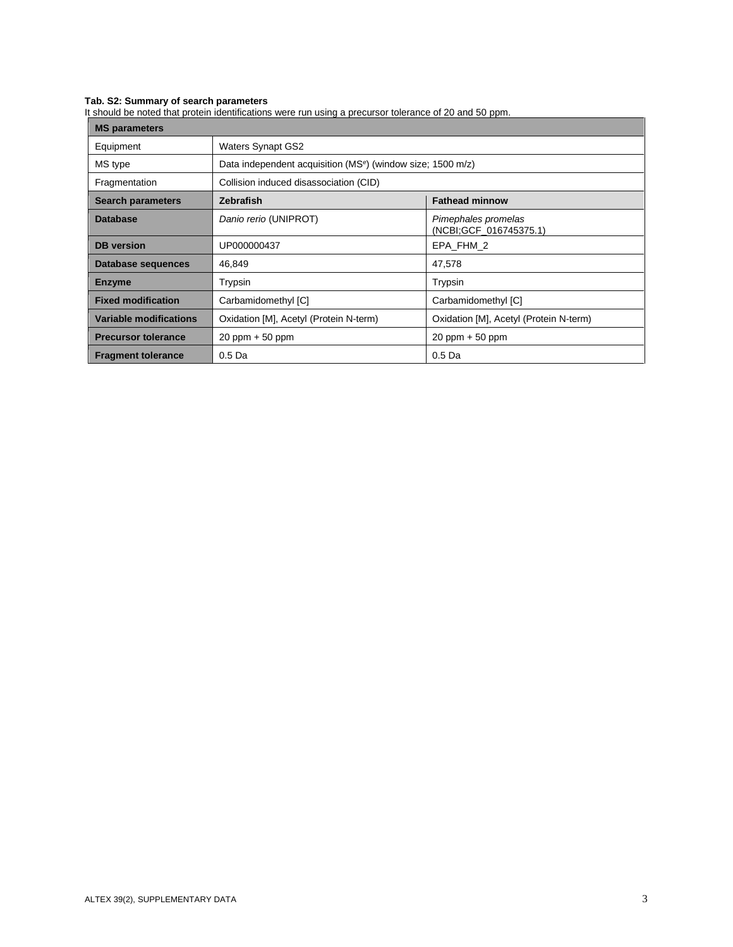#### **Tab. S2: Summary of search parameters**

It should be noted that protein identifications were run using a precursor tolerance of 20 and 50 ppm.

| <b>MS parameters</b>       |                                                                         |                                               |  |  |  |  |
|----------------------------|-------------------------------------------------------------------------|-----------------------------------------------|--|--|--|--|
| Equipment                  | <b>Waters Synapt GS2</b>                                                |                                               |  |  |  |  |
| MS type                    | Data independent acquisition (MS <sup>e</sup> ) (window size; 1500 m/z) |                                               |  |  |  |  |
| Fragmentation              | Collision induced disassociation (CID)                                  |                                               |  |  |  |  |
| <b>Search parameters</b>   | <b>Zebrafish</b>                                                        | <b>Fathead minnow</b>                         |  |  |  |  |
| <b>Database</b>            | Danio rerio (UNIPROT)                                                   | Pimephales promelas<br>(NCBI:GCF 016745375.1) |  |  |  |  |
| <b>DB</b> version          | UP000000437                                                             | EPA FHM 2                                     |  |  |  |  |
| Database sequences         | 46,849                                                                  | 47,578                                        |  |  |  |  |
| <b>Enzyme</b>              | Trypsin                                                                 | Trypsin                                       |  |  |  |  |
| <b>Fixed modification</b>  | Carbamidomethyl [C]                                                     | Carbamidomethyl [C]                           |  |  |  |  |
| Variable modifications     | Oxidation [M], Acetyl (Protein N-term)                                  | Oxidation [M], Acetyl (Protein N-term)        |  |  |  |  |
| <b>Precursor tolerance</b> | $20$ ppm $+50$ ppm                                                      | $20$ ppm $+50$ ppm                            |  |  |  |  |
| <b>Fragment tolerance</b>  | 0.5 <sub>Da</sub>                                                       | 0.5 <sub>Da</sub>                             |  |  |  |  |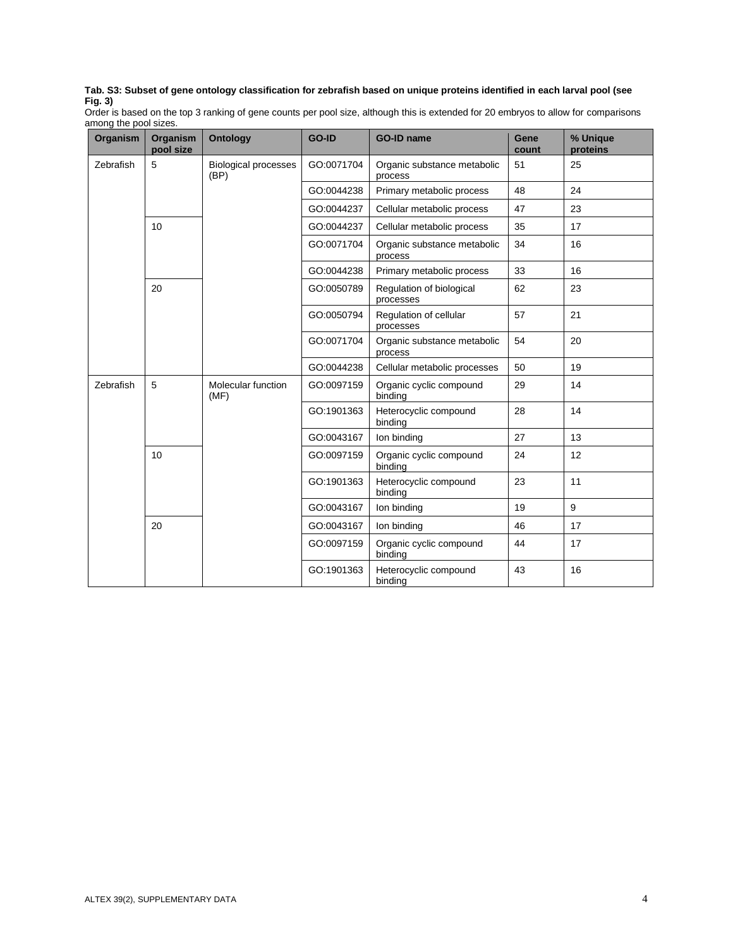#### **Tab. S3: Subset of gene ontology classification for zebrafish based on unique proteins identified in each larval pool (see Fig. 3)**

Order is based on the top 3 ranking of gene counts per pool size, although this is extended for 20 embryos to allow for comparisons among the pool sizes.

| <b>Organism</b> | <b>Organism</b><br>pool size | <b>Ontology</b>                     | GO-ID      | <b>GO-ID name</b>                      | Gene<br>count | % Unique<br>proteins |
|-----------------|------------------------------|-------------------------------------|------------|----------------------------------------|---------------|----------------------|
| Zebrafish       | 5                            | <b>Biological processes</b><br>(BP) | GO:0071704 | Organic substance metabolic<br>process | 51            | 25                   |
|                 |                              |                                     | GO:0044238 | Primary metabolic process              | 48            | 24                   |
|                 |                              |                                     | GO:0044237 | Cellular metabolic process             | 47            | 23                   |
|                 | 10                           |                                     | GO:0044237 | Cellular metabolic process             | 35            | 17                   |
|                 |                              |                                     | GO:0071704 | Organic substance metabolic<br>process | 34            | 16                   |
|                 |                              |                                     | GO:0044238 | Primary metabolic process              | 33            | 16                   |
|                 | 20                           |                                     | GO:0050789 | Regulation of biological<br>processes  | 62            | 23                   |
|                 |                              |                                     | GO:0050794 | Regulation of cellular<br>processes    | 57            | 21                   |
|                 |                              |                                     | GO:0071704 | Organic substance metabolic<br>process | 54            | 20                   |
|                 |                              |                                     | GO:0044238 | Cellular metabolic processes           | 50            | 19                   |
| Zebrafish       | 5                            | Molecular function<br>(MF)          | GO:0097159 | Organic cyclic compound<br>binding     | 29            | 14                   |
|                 |                              |                                     | GO:1901363 | Heterocyclic compound<br>binding       | 28            | 14                   |
|                 |                              |                                     | GO:0043167 | Ion binding                            | 27            | 13                   |
|                 | 10                           |                                     | GO:0097159 | Organic cyclic compound<br>binding     | 24            | 12                   |
|                 |                              |                                     | GO:1901363 | Heterocyclic compound<br>binding       | 23            | 11                   |
|                 |                              |                                     | GO:0043167 | Ion binding                            | 19            | 9                    |
|                 | 20                           |                                     | GO:0043167 | Ion binding                            | 46            | 17                   |
|                 |                              |                                     | GO:0097159 | Organic cyclic compound<br>binding     | 44            | 17                   |
|                 |                              |                                     | GO:1901363 | Heterocyclic compound<br>binding       | 43            | 16                   |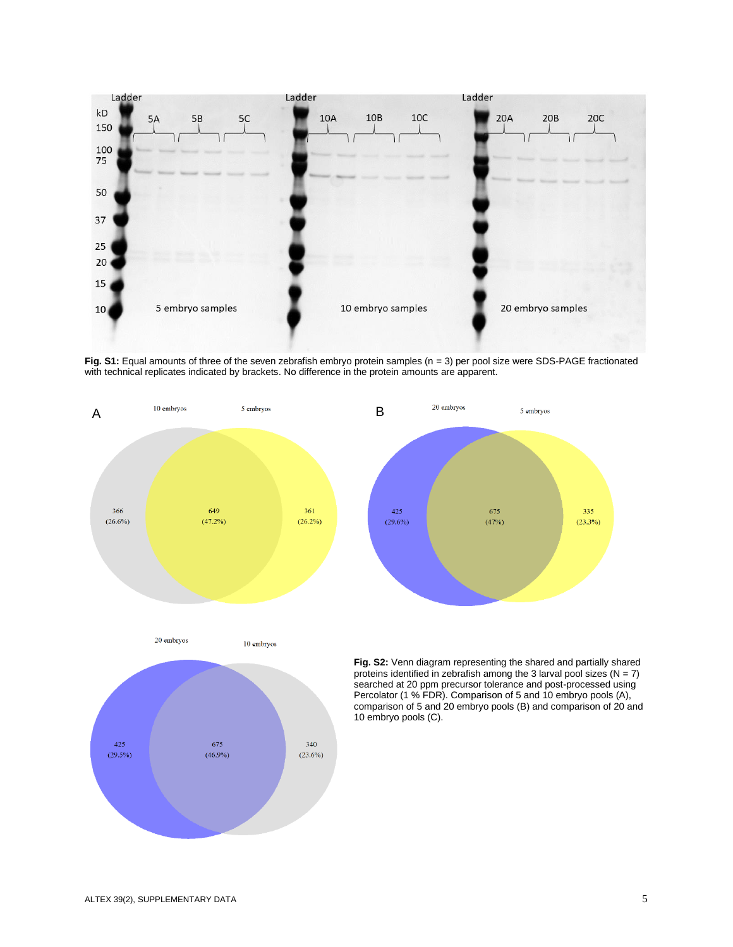

**Fig. S1:** Equal amounts of three of the seven zebrafish embryo protein samples (n = 3) per pool size were SDS-PAGE fractionated with technical replicates indicated by brackets. No difference in the protein amounts are apparent.

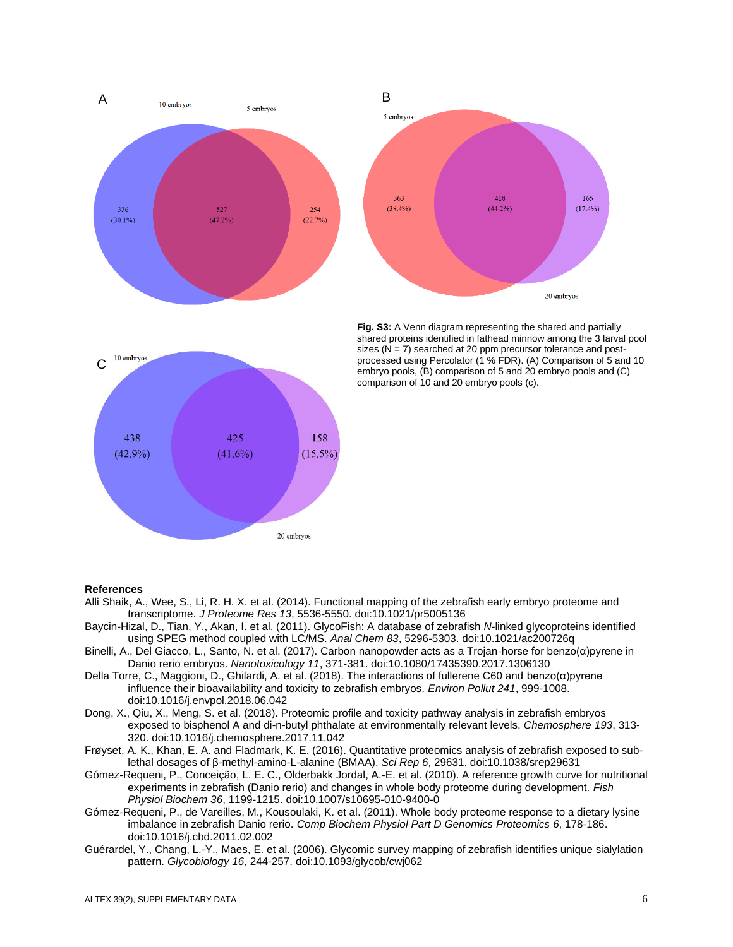



**Fig. S3:** A Venn diagram representing the shared and partially shared proteins identified in fathead minnow among the 3 larval pool sizes ( $N = 7$ ) searched at 20 ppm precursor tolerance and postprocessed using Percolator (1 % FDR). (A) Comparison of 5 and 10 embryo pools, (B) comparison of 5 and 20 embryo pools and (C) comparison of 10 and 20 embryo pools (c).

### **References**

Alli Shaik, A., Wee, S., Li, R. H. X. et al. (2014). Functional mapping of the zebrafish early embryo proteome and transcriptome. *J Proteome Res 13*, 5536-5550[. doi:10.1021/pr5005136](https://doi.org/10.1021/pr5005136)

20 embryos

- Baycin-Hizal, D., Tian, Y., Akan, I. et al. (2011). GlycoFish: A database of zebrafish *N*-linked glycoproteins identified using SPEG method coupled with LC/MS. *Anal Chem 83*, 5296-5303. [doi:10.1021/ac200726q](https://doi.org/10.1021/ac200726q)
- Binelli, A., Del Giacco, L., Santo, N. et al. (2017). Carbon nanopowder acts as a Trojan-horse for benzo(α)pyrene in Danio rerio embryos. *Nanotoxicology 11*, 371-381. [doi:10.1080/17435390.2017.1306130](https://doi.org/10.1080/17435390.2017.1306130)
- Della Torre, C., Maggioni, D., Ghilardi, A. et al. (2018). The interactions of fullerene C60 and benzo(α)pyrene influence their bioavailability and toxicity to zebrafish embryos. *Environ Pollut 241*, 999-1008. [doi:10.1016/j.envpol.2018.06.042](https://doi.org/10.1016/j.envpol.2018.06.042)
- Dong, X., Qiu, X., Meng, S. et al. (2018). Proteomic profile and toxicity pathway analysis in zebrafish embryos exposed to bisphenol A and di-n-butyl phthalate at environmentally relevant levels. *Chemosphere 193*, 313- 320. [doi:10.1016/j.chemosphere.2017.11.042](https://doi.org/10.1016/j.chemosphere.2017.11.042)
- Frøyset, A. K., Khan, E. A. and Fladmark, K. E. (2016). Quantitative proteomics analysis of zebrafish exposed to sublethal dosages of β-methyl-amino-L-alanine (BMAA). *Sci Rep 6*, 29631[. doi:10.1038/srep29631](https://doi.org/10.1038/srep29631)
- Gómez-Requeni, P., Conceição, L. E. C., Olderbakk Jordal, A.-E. et al. (2010). A reference growth curve for nutritional experiments in zebrafish (Danio rerio) and changes in whole body proteome during development. *Fish Physiol Biochem 36*, 1199-1215. [doi:10.1007/s10695-010-9400-0](https://doi.org/10.1007/s10695-010-9400-0)
- Gómez-Requeni, P., de Vareilles, M., Kousoulaki, K. et al. (2011). Whole body proteome response to a dietary lysine imbalance in zebrafish Danio rerio. *Comp Biochem Physiol Part D Genomics Proteomics 6*, 178-186. [doi:10.1016/j.cbd.2011.02.002](https://doi.org/10.1016/j.cbd.2011.02.002)
- Guérardel, Y., Chang, L.-Y., Maes, E. et al. (2006). Glycomic survey mapping of zebrafish identifies unique sialylation pattern. *Glycobiology 16*, 244-257. [doi:10.1093/glycob/cwj062](https://doi.org/10.1093/glycob/cwj062)